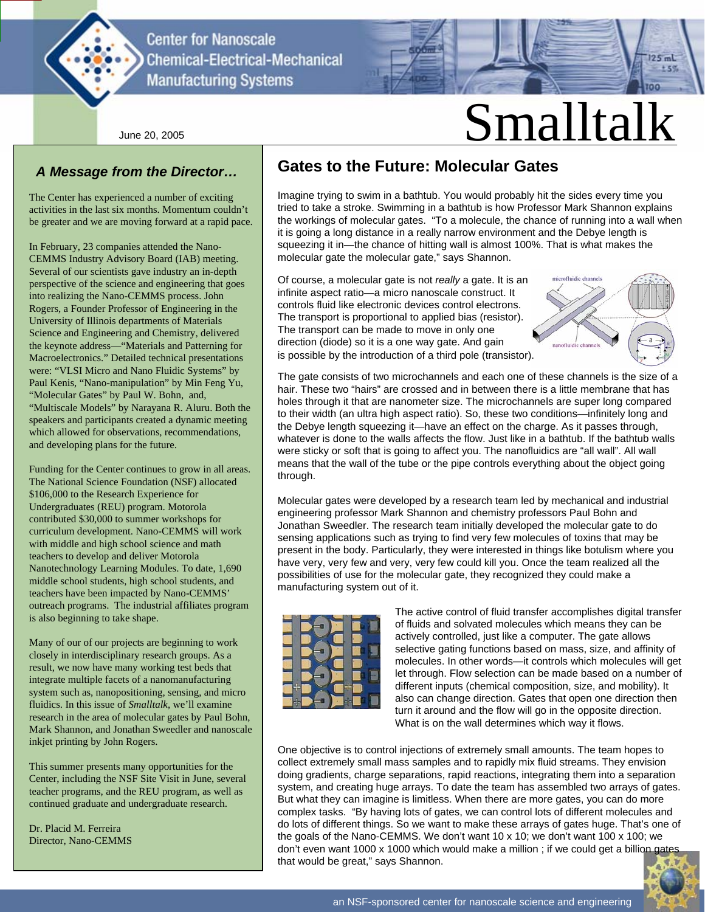

**Center for Nanoscale Chemical-Electrical-Mechanical Manufacturing Systems** 

## *A Message from the Director…*

The Center has experienced a number of exciting activities in the last six months. Momentum couldn't be greater and we are moving forward at a rapid pace.

In February, 23 companies attended the Nano-CEMMS Industry Advisory Board (IAB) meeting. Several of our scientists gave industry an in-depth perspective of the science and engineering that goes into realizing the Nano-CEMMS process. John Rogers, a Founder Professor of Engineering in the University of Illinois departments of Materials Science and Engineering and Chemistry, delivered the keynote address—"Materials and Patterning for Macroelectronics." Detailed technical presentations were: "VLSI Micro and Nano Fluidic Systems" by Paul Kenis, "Nano-manipulation" by Min Feng Yu, "Molecular Gates" by Paul W. Bohn, and, "Multiscale Models" by Narayana R. Aluru. Both the speakers and participants created a dynamic meeting which allowed for observations, recommendations, and developing plans for the future.

Funding for the Center continues to grow in all areas. The National Science Foundation (NSF) allocated \$106,000 to the Research Experience for Undergraduates (REU) program. Motorola contributed \$30,000 to summer workshops for curriculum development. Nano-CEMMS will work with middle and high school science and math teachers to develop and deliver Motorola Nanotechnology Learning Modules. To date, 1,690 middle school students, high school students, and teachers have been impacted by Nano-CEMMS' outreach programs. The industrial affiliates program is also beginning to take shape.

Many of our of our projects are beginning to work closely in interdisciplinary research groups. As a result, we now have many working test beds that integrate multiple facets of a nanomanufacturing system such as, nanopositioning, sensing, and micro fluidics. In this issue of *Smalltalk*, we'll examine research in the area of molecular gates by Paul Bohn, Mark Shannon, and Jonathan Sweedler and nanoscale inkjet printing by John Rogers.

This summer presents many opportunities for the Center, including the NSF Site Visit in June, several teacher programs, and the REU program, as well as continued graduate and undergraduate research.

Dr. Placid M. Ferreira Director, Nano-CEMMS

## **Gates to the Future: Molecular Gates**

Imagine trying to swim in a bathtub. You would probably hit the sides every time you tried to take a stroke. Swimming in a bathtub is how Professor Mark Shannon explains the workings of molecular gates. "To a molecule, the chance of running into a wall when it is going a long distance in a really narrow environment and the Debye length is squeezing it in—the chance of hitting wall is almost 100%. That is what makes the molecular gate the molecular gate," says Shannon.

Of course, a molecular gate is not *really* a gate. It is an infinite aspect ratio—a micro nanoscale construct. It controls fluid like electronic devices control electrons. The transport is proportional to applied bias (resistor). The transport can be made to move in only one direction (diode) so it is a one way gate. And gain is possible by the introduction of a third pole (transistor).



 $125$  mL  $+50$ 

The gate consists of two microchannels and each one of these channels is the size of a hair. These two "hairs" are crossed and in between there is a little membrane that has holes through it that are nanometer size. The microchannels are super long compared to their width (an ultra high aspect ratio). So, these two conditions—infinitely long and the Debye length squeezing it—have an effect on the charge. As it passes through, whatever is done to the walls affects the flow. Just like in a bathtub. If the bathtub walls were sticky or soft that is going to affect you. The nanofluidics are "all wall". All wall means that the wall of the tube or the pipe controls everything about the object going through.

Molecular gates were developed by a research team led by mechanical and industrial engineering professor Mark Shannon and chemistry professors Paul Bohn and Jonathan Sweedler. The research team initially developed the molecular gate to do sensing applications such as trying to find very few molecules of toxins that may be present in the body. Particularly, they were interested in things like botulism where you have very, very few and very, very few could kill you. Once the team realized all the possibilities of use for the molecular gate, they recognized they could make a manufacturing system out of it.



The active control of fluid transfer accomplishes digital transfer of fluids and solvated molecules which means they can be actively controlled, just like a computer. The gate allows selective gating functions based on mass, size, and affinity of molecules. In other words—it controls which molecules will get let through. Flow selection can be made based on a number of different inputs (chemical composition, size, and mobility). It also can change direction. Gates that open one direction then turn it around and the flow will go in the opposite direction. What is on the wall determines which way it flows.

One objective is to control injections of extremely small amounts. The team hopes to collect extremely small mass samples and to rapidly mix fluid streams. They envision doing gradients, charge separations, rapid reactions, integrating them into a separation system, and creating huge arrays. To date the team has assembled two arrays of gates. But what they can imagine is limitless. When there are more gates, you can do more complex tasks. "By having lots of gates, we can control lots of different molecules and do lots of different things. So we want to make these arrays of gates huge. That's one of the goals of the Nano-CEMMS. We don't want 10 x 10; we don't want 100 x 100; we don't even want 1000 x 1000 which would make a million ; if we could get a billion gates that would be great," says Shannon.